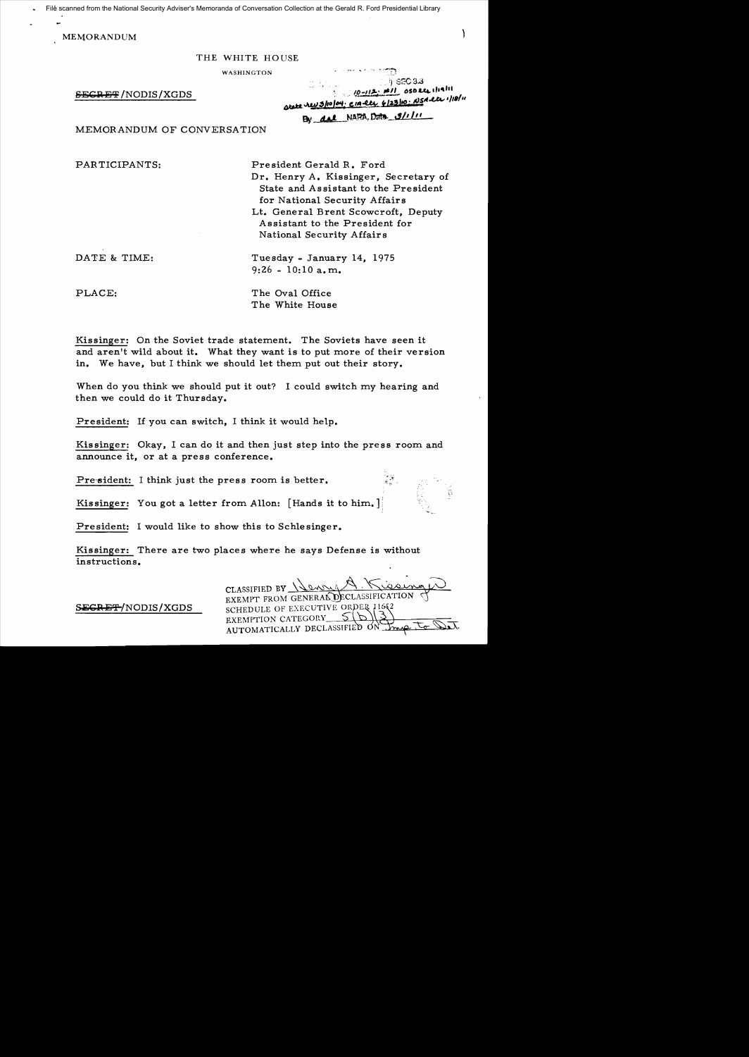File scanned from the National Security Adviser's Memoranda of Conversation Collection at the Gerald R. Ford Presidential Library

١

MEMORANDUM

#### THE WHITE HOUSE

WASHINGTON

 $SEGRE/F/NODIS/XGDS$ 

| na sila.<br>Wilayah | - 13<br>$\langle \cdot, \cdot \rangle$ SEC 3.3 |                                                    |
|---------------------|------------------------------------------------|----------------------------------------------------|
|                     | 1 10-112: #11 050 le 11911                     | arate revisiolati cia ete 6/23/10: NSA ete 1/18/11 |
|                     | By del NARA, Data 9/1/11                       |                                                    |

MEMORANDUM OF CONVERSATION

PARTICIPANTS: President Gerald R. Ford Dr. Henry A. Kissinger, Secretary of State and Assistant to the President for National Security Affairs Lt. General Brent Scowcroft, Deputy A ssistant to the President for National Security Affairs

DATE & TIME: Tuesday - January 14, 1975  $9:26 - 10:10$  a.m.

PLACE: The Oval Office The White House

Kissinger: On the Soviet trade statement. The Soviets have seen it and aren't wild about it. What they want is to put more of their version in. We have, but I think we should let them put out their story.

When do you think we should put it out? I could switch my hearing and then we could do it Thursday.

President: If you can switch, I think it would help.

Kissinger: Okay, I can do it and then just step into the press room and announce it, or at a press conference.

President: I think just the press room is better.

Kissinger: You got a letter from Allon: [Hands it to him.]

President: I would like to show this to Schlesinger.

Kissinger: There are two places where he says Defense is without instructions.

CLASSIFIED BY \\emilled CLASSIFIC PO SECRET/NODIS/XGDS SCHEDULE OF EXECUTIVE ORDER 1169 EXEMPTION CATEGORY\_ AUTOMATICALLY DECLASSIFIED ON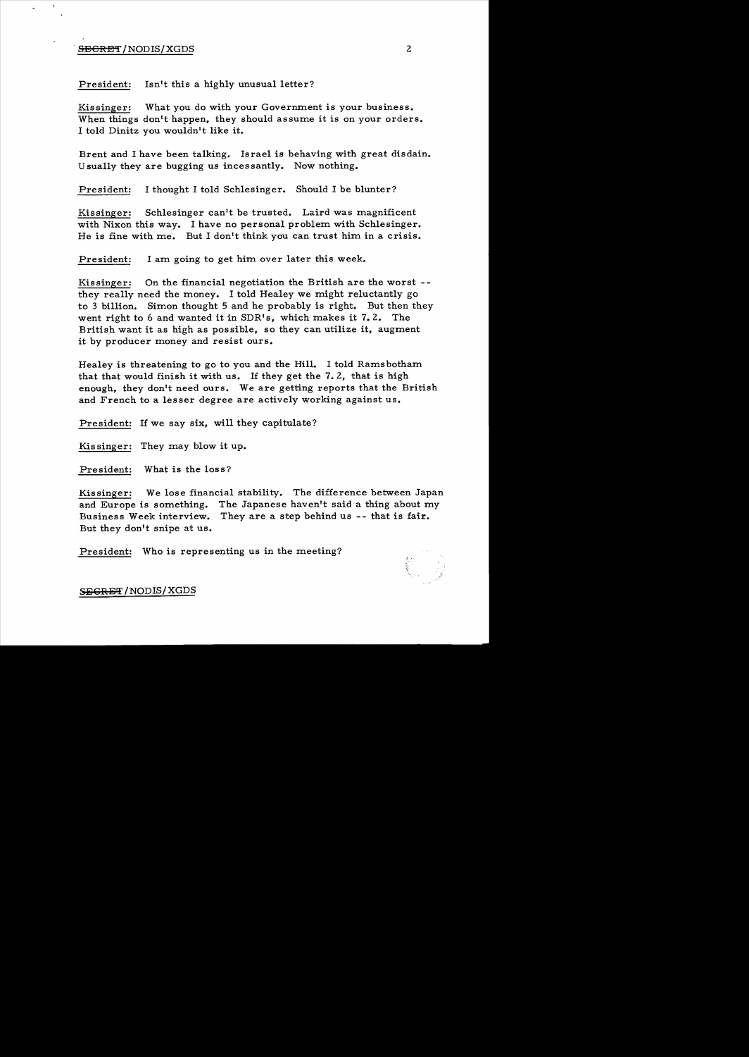### **SECRET**/NODIS/XGDS 2

President: Isn't this a highly unusual letter?

Kissinger: What you do with your Govermnent is your business. When things don't happen, they should assume it is on your orders. I told Dinitz you wouldn't like it.

Brent and I have been talking. Israel is behaving with great disdain. Usually they are bugging us incessantly. Now nothing.

President: I thought I told Schlesinger. Should I be blunter?

Kissinger: Schlesinger can't be trusted. Laird was magnificent with Nixon this way. I have no personal problem with Schlesinger. He is fine with me. But I don't think you can trust him in a crisis.

President: I am going to get him over later this week.

Kissinger: On the financial negotiation the British are the worst  $\cdot$ they really need the money. I told Healey we might reluctantly go to 3 billion. Simon thought 5 and he probably is right. But then they went right to 6 and wanted it in SDR's, which makes it 7.2. The British want it as high as possible, so they can utilize it, augment it by producer money and resist ours.

Healey is threatening to go to you and the Hill. I told Ramsbotham that that would finish it with us. If they get the 7.2, that is high enough, they don't need ours. We are getting reports that the British and French to a lesser degree are actively working against us.

President: If we say six, will they capitulate?

Kissinger: They may blow it up.

President: What is the loss?

Kissinger: We lose financial stability. The difference between Japan and Europe is something. The Japanese haven't said a thing about my Business Week interview. They are a step behind us -- that is fair. But they don't snipe at us.

President: Who is representing us in the meeting?



SEGRET/NODIS/XGDS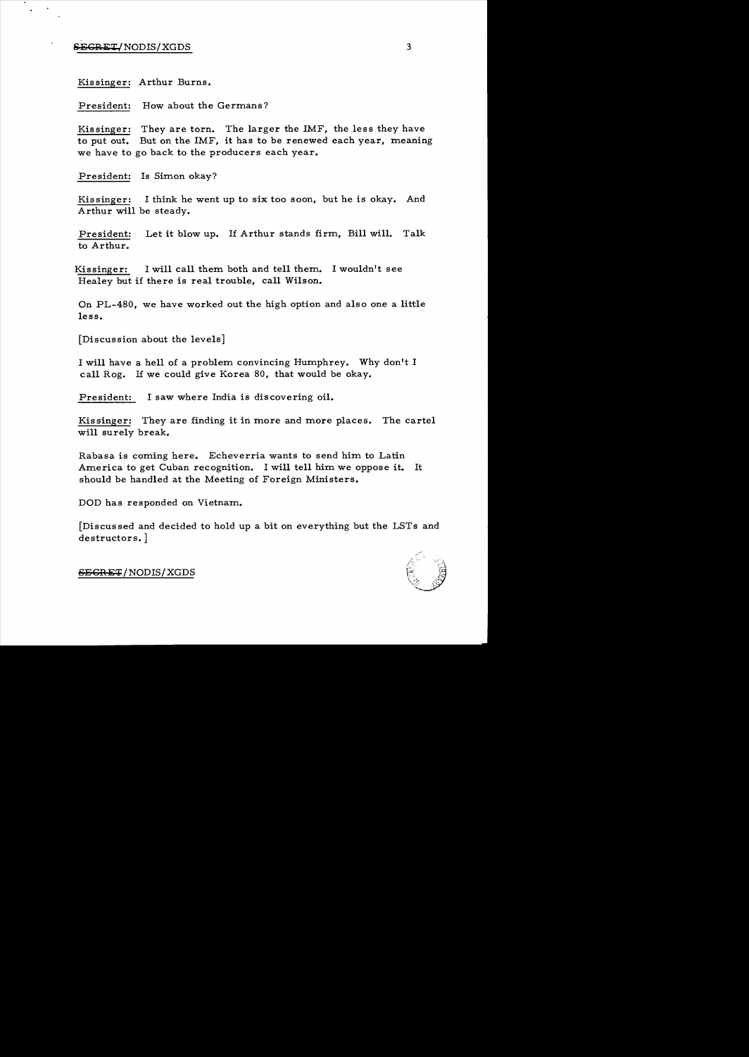# $SEGRET/NODIS/XGDS$  3

Kissinger: Arthur Burns.

President: How about the Germans?

Kissinger: They are torn. The larger the IMF, the less they have to put out. But on the IMF, it has to be renewed each year, meaning we have to go back to the producers each year.

President: Is Simon okay?

Kissinger: I think he went up to six too soon, but he is okay. And Arthur will be steady.

President: Let it blow up. If Arthur stands firm, Bill will. Talk to Arthur.

Kissinger: I will call them both and tell them. I wouldn't see Healey but if there is real trouble, call Wilson.

On PL-4S0, we have worked out the high option and also one a little less.

[Discussion about the levels]

I will have a hell of a problem convincing Humphrey. Why don't I call Rog. If we could give Korea SO, that would be okay.

President: I saw where India is discovering oil.

Kissinger: They are finding it in more and more places. The cartel will surely break.

Rabasa is coming here. Echeverria wants to send him to Latin America to get Cuban recognition. I will tell him we oppose it. It should be handled at the Meeting of Foreign Ministers.

DOD has responded on Vietnam.

[Discussed and decided to hold up a bit on everything but the LSTs and destructors. ]



SBGHET / NODIS/ XGDS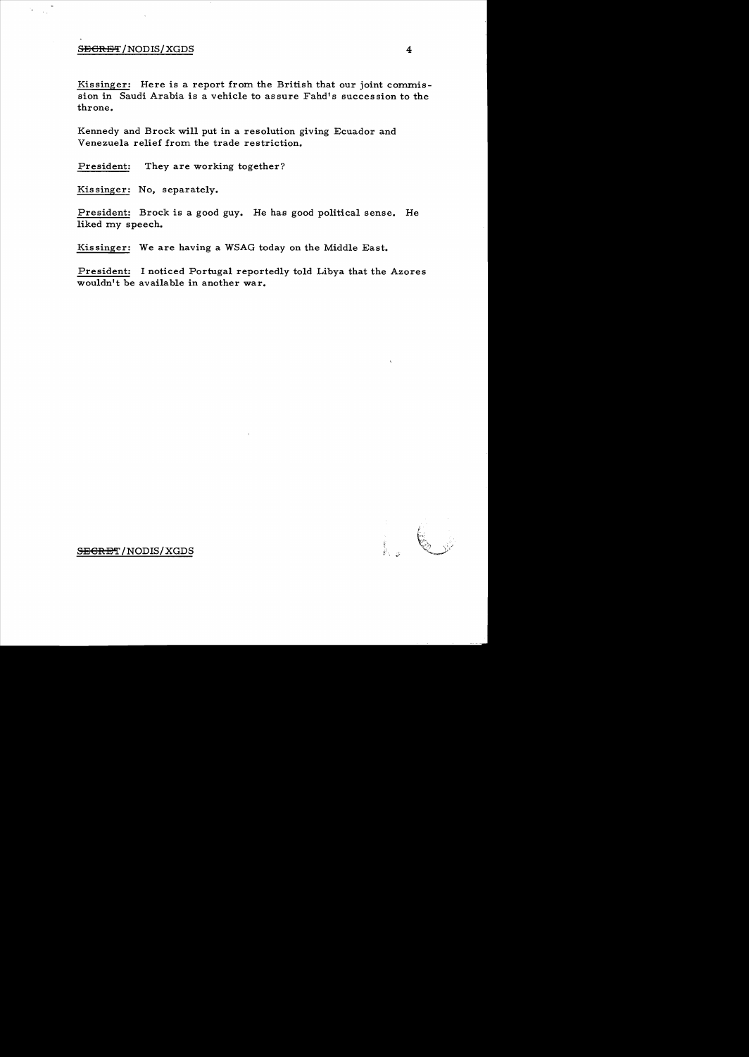#### SECRET/NODIS/XGDS 4

Kissinger: Here is a report from the British that our joint commission in Saudi Arabia is a vehicle to assure Fahd's succession to the throne.

Kennedy and Brock will put in a resolution giving Ecuador and Venezuela relief from the trade restriction.

President: They are working together?

Kissinger: No, separately.

President: Brock is a good guy. He has good political sense. He liked my speech.

Kissinger: We are having a WSAG today on the Middle East.

President: I noticed Portugal reportedly told Libya that the Azores wouldn't be available in another war.

 $\begin{matrix} \texttt{SEGRBT} \end{matrix}$  , and  $\begin{matrix} \texttt{SEGRBT} \end{matrix}$  , and  $\begin{matrix} \texttt{SEGRBT} \end{matrix}$  , and  $\begin{matrix} \texttt{SEGRBT} \end{matrix}$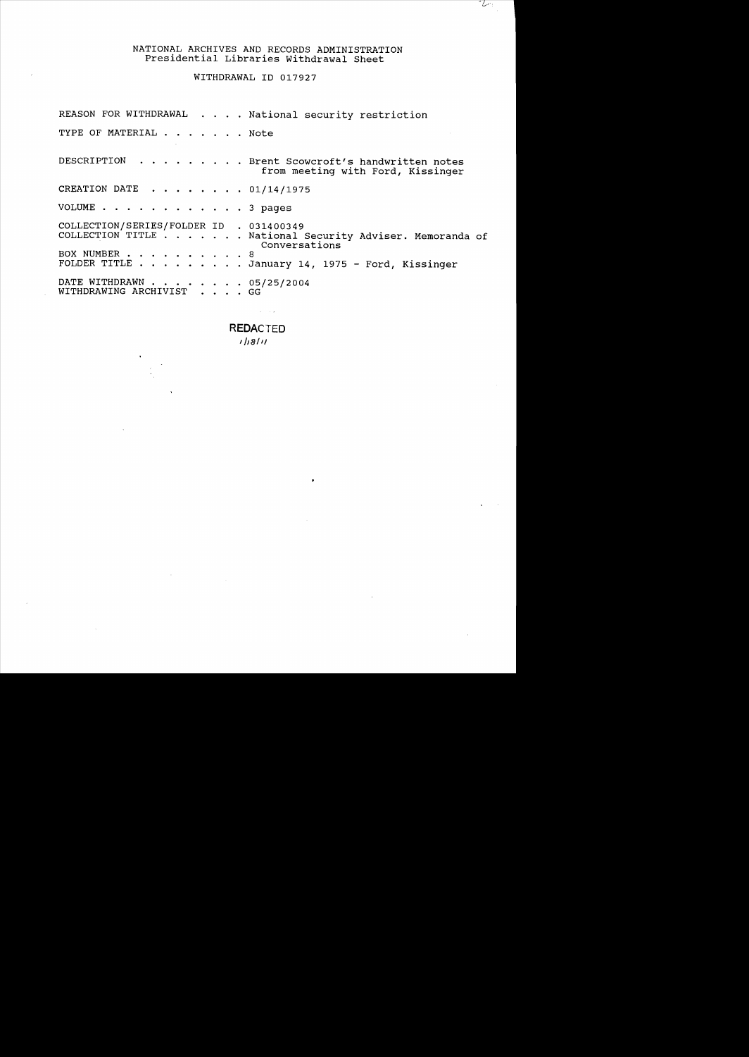# NATIONAL ARCHIVES AND RECORDS ADMINISTRATION Presidential Libraries withdrawal Sheet

 $-2$ 

WITHDRAWAL 10 017927

REASON FOR WITHDRAWAL . . . . National security restriction TYPE OF MATERIAL . . . . . . Note DESCRIPTION  $\cdots$   $\cdots$   $\cdots$   $\cdots$  Brent Scowcroft's handwritten notes from meeting with Ford, Kissinger CREATION DATE ..... 01/14/1975 VOLUME . . . . . . . . . . . . 3 pages COLLECTION/SERIES/FOLDER 10 . 031400349 COLLECTION TITLE . . . . . . . . National Security Adviser. Memoranda of<br>
BOX NUMBER . . . . . . . . . . 8<br>
FOLDER TITLE . . . . . . . . . January 14, 1975 - Ford, Kissinger Conversations DATE WITHDRAWN . . . . . . . . 05/25/2004 WITHDRAWING ARCHIVIST . . . . GG

**REDACTED** 

 $\sim 100$  km  $^{-2}$ 

*I j,a/ 1/*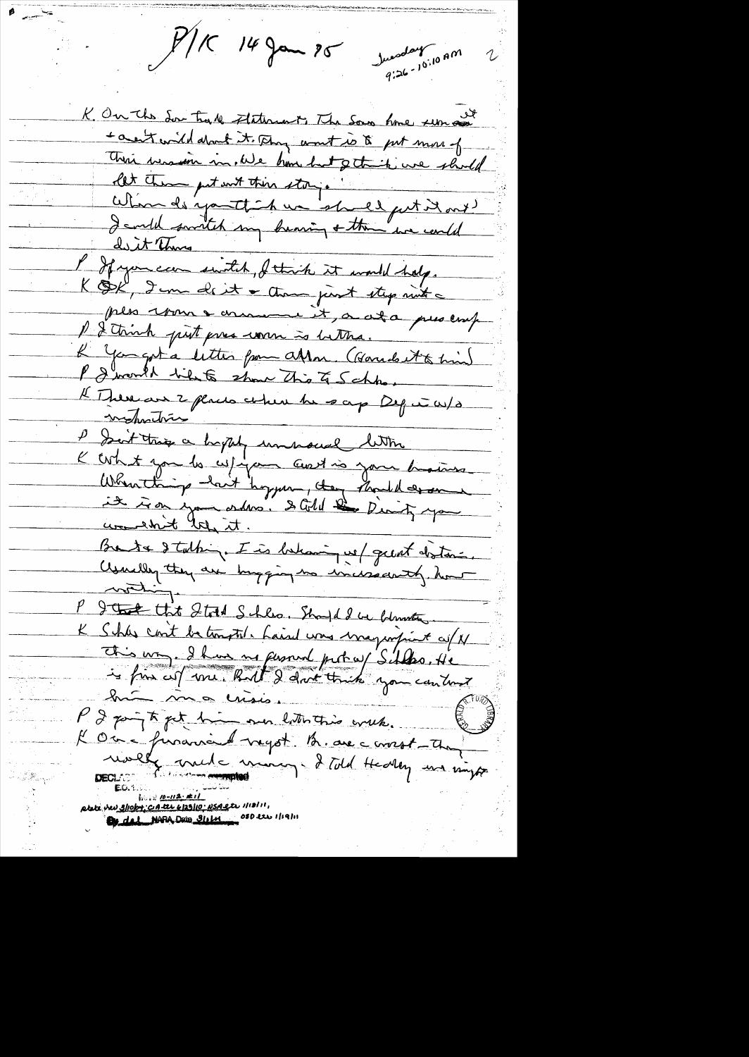$P/K$  14 Jan 25 Juventur 10.10 AM 2 K. On the Sou trade Attenunt, The Sous home run and contenible dont it. Any wont is to put more of There were in ble home but of the ine should let them get unt this story.<br>When de youth her should get it out !<br>I and smitch my bearing + them we could dist This Is it there with, I think it would help. KOK, I can de it a thought thep mit ples vous e arrament, a at a present P & think put pres work is better. L'You get a litter from attor. (Garrist time) P I would like show This Is Schho, Il There are 2 places where he says Dep in W/3 P Soit trop a hypely unnoced lettre<br>K When thing - last hoppen, they should describe Breta dtalhing. I is behaving us/ great distance. Usually they are hugging to incisionty how P groot that Start Schles. Should be blown to K Shas cont be tomotil. Laind was maginfront co/N This way. I have no fersont protes/Silles. He K Oc = financier regot la avec croist-chapter etete ver slieber, catte 6/23/10: NSA ete 1/12/11,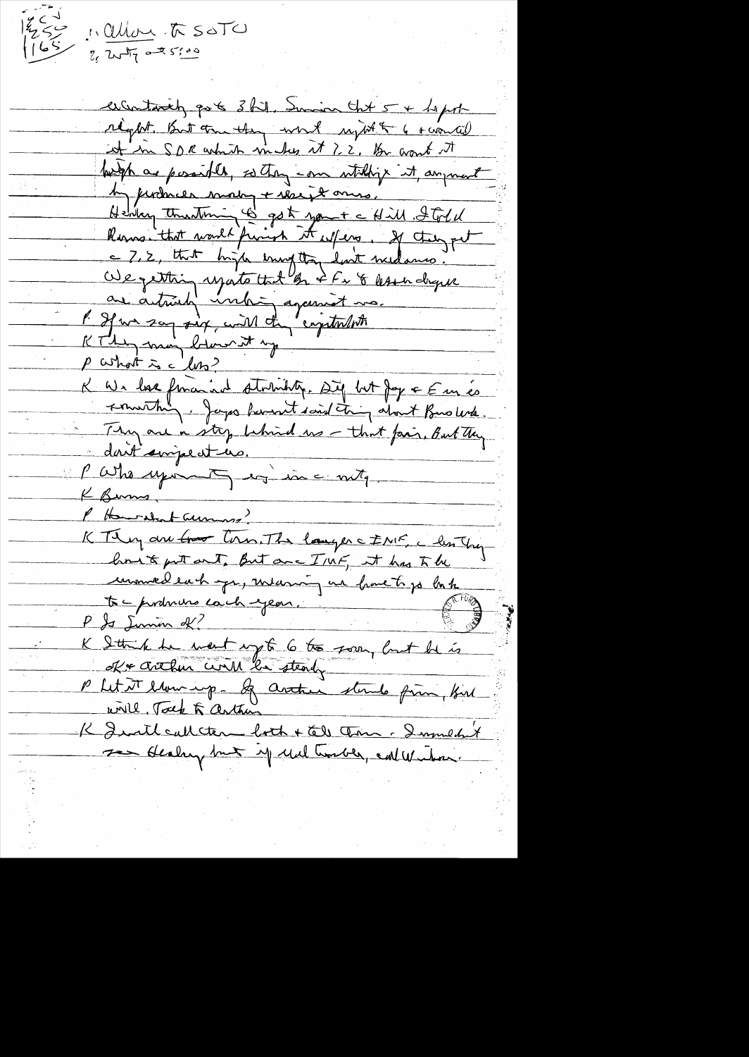د کھا |

1. alloy to SOTO

 $2.277077075560$ 

escentarily got 3 hil, Innin that 5 + hepot réglet. But tou they work upt to 6 roual it in SDR which makes it ? 2. Be want it betyt as possible, so they can withing it anyment A jurimer more + reseit ones.<br>Henry thusting & got you + a Hill Fold<br>Roms that would finish it wifers, If they get<br>a 7, 2, that high enought wilsons.<br>We getting use that on I for & less dry use. are actualy inhing against mo. P If we say six, will the "crystorloth KThey may below it my p what is a loss? K We love foraind stortistiq. Dig but Joy a Emés Thy are a stop behind us - that fair, But they dont impecture. Partis upont des incontra K Burns P Howard Laumare KTI en au tros tous. The langer c INF, c les They but out out, But are I'll F, at has to be unniel each que, meaning une franchise base<br>to - producine cach year, in the former of the P & Lumin & K Sthink he meet up to 6 to soon, but he is Kr crehen civil le steady P Let it letter up - If arthur stands from But will, Tock & arthur K Institution both + tell tern - Immedit